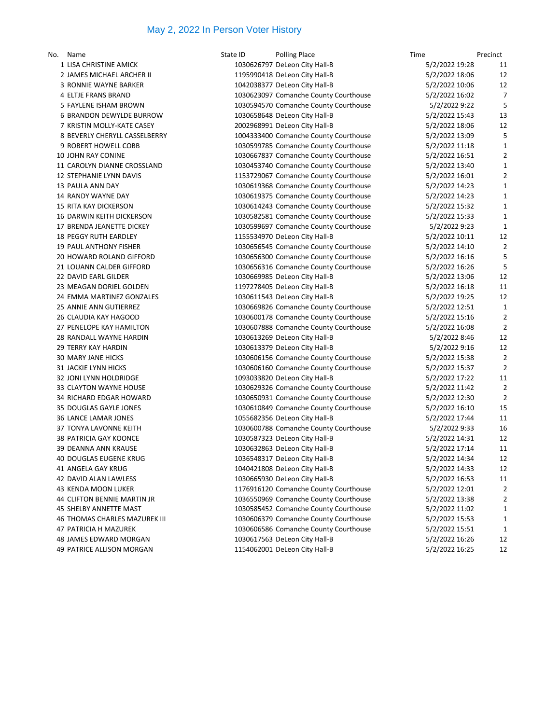## May 2, 2022 In Person Voter History

| No. Name                       | State ID | <b>Polling Place</b>                  | Time           | Precinct |
|--------------------------------|----------|---------------------------------------|----------------|----------|
| 1 LISA CHRISTINE AMICK         |          | 1030626797 DeLeon City Hall-B         | 5/2/2022 19:28 | 11       |
| 2 JAMES MICHAEL ARCHER II      |          | 1195990418 DeLeon City Hall-B         | 5/2/2022 18:06 | 12       |
| 3 RONNIE WAYNE BARKER          |          | 1042038377 DeLeon City Hall-B         | 5/2/2022 10:06 | 12       |
| 4 ELTJE FRANS BRAND            |          | 1030623097 Comanche County Courthouse | 5/2/2022 16:02 | 7        |
| 5 FAYLENE ISHAM BROWN          |          | 1030594570 Comanche County Courthouse | 5/2/2022 9:22  | 5        |
| 6 BRANDON DEWYLDE BURROW       |          | 1030658648 DeLeon City Hall-B         | 5/2/2022 15:43 | 13       |
| 7 KRISTIN MOLLY-KATE CASEY     |          | 2002968991 DeLeon City Hall-B         | 5/2/2022 18:06 | 12       |
| 8 BEVERLY CHERYLL CASSELBERRY  |          | 1004333400 Comanche County Courthouse | 5/2/2022 13:09 |          |
| 9 ROBERT HOWELL COBB           |          | 1030599785 Comanche County Courthouse | 5/2/2022 11:18 | 1        |
| 10 JOHN RAY CONINE             |          | 1030667837 Comanche County Courthouse | 5/2/2022 16:51 | 2        |
| 11 CAROLYN DIANNE CROSSLAND    |          | 1030453740 Comanche County Courthouse | 5/2/2022 13:40 | 1        |
| <b>12 STEPHANIE LYNN DAVIS</b> |          | 1153729067 Comanche County Courthouse | 5/2/2022 16:01 |          |
| 13 PAULA ANN DAY               |          | 1030619368 Comanche County Courthouse | 5/2/2022 14:23 | 1        |
| 14 RANDY WAYNE DAY             |          | 1030619375 Comanche County Courthouse | 5/2/2022 14:23 | 1        |
| <b>15 RITA KAY DICKERSON</b>   |          | 1030614243 Comanche County Courthouse | 5/2/2022 15:32 | 1        |
| 16 DARWIN KEITH DICKERSON      |          | 1030582581 Comanche County Courthouse | 5/2/2022 15:33 | 1        |
| 17 BRENDA JEANETTE DICKEY      |          | 1030599697 Comanche County Courthouse | 5/2/2022 9:23  |          |
| <b>18 PEGGY RUTH EARDLEY</b>   |          | 1155534970 DeLeon City Hall-B         | 5/2/2022 10:11 | 12       |
| <b>19 PAUL ANTHONY FISHER</b>  |          | 1030656545 Comanche County Courthouse | 5/2/2022 14:10 |          |
| 20 HOWARD ROLAND GIFFORD       |          | 1030656300 Comanche County Courthouse | 5/2/2022 16:16 | 5        |
| 21 LOUANN CALDER GIFFORD       |          | 1030656316 Comanche County Courthouse | 5/2/2022 16:26 | 5        |
| 22 DAVID EARL GILDER           |          | 1030669985 DeLeon City Hall-B         | 5/2/2022 13:06 | 12       |
| 23 MEAGAN DORIEL GOLDEN        |          | 1197278405 DeLeon City Hall-B         | 5/2/2022 16:18 | 11       |
| 24 EMMA MARTINEZ GONZALES      |          | 1030611543 DeLeon City Hall-B         | 5/2/2022 19:25 | 12       |
| 25 ANNIE ANN GUTIERREZ         |          | 1030669826 Comanche County Courthouse | 5/2/2022 12:51 | 1        |
| 26 CLAUDIA KAY HAGOOD          |          | 1030600178 Comanche County Courthouse | 5/2/2022 15:16 | 2        |
| 27 PENELOPE KAY HAMILTON       |          | 1030607888 Comanche County Courthouse | 5/2/2022 16:08 | 2        |
| 28 RANDALL WAYNE HARDIN        |          | 1030613269 DeLeon City Hall-B         | 5/2/2022 8:46  | 12       |
| <b>29 TERRY KAY HARDIN</b>     |          | 1030613379 DeLeon City Hall-B         | 5/2/2022 9:16  | 12       |
| <b>30 MARY JANE HICKS</b>      |          | 1030606156 Comanche County Courthouse | 5/2/2022 15:38 | 2        |
| <b>31 JACKIE LYNN HICKS</b>    |          | 1030606160 Comanche County Courthouse | 5/2/2022 15:37 |          |
| 32 JONI LYNN HOLDRIDGE         |          | 1093033820 DeLeon City Hall-B         | 5/2/2022 17:22 | 11       |
| 33 CLAYTON WAYNE HOUSE         |          | 1030629326 Comanche County Courthouse | 5/2/2022 11:42 | 2        |
| 34 RICHARD EDGAR HOWARD        |          | 1030650931 Comanche County Courthouse | 5/2/2022 12:30 | 2        |
| 35 DOUGLAS GAYLE JONES         |          | 1030610849 Comanche County Courthouse | 5/2/2022 16:10 | 15       |
| <b>36 LANCE LAMAR JONES</b>    |          | 1055682356 DeLeon City Hall-B         | 5/2/2022 17:44 | 11       |
| 37 TONYA LAVONNE KEITH         |          | 1030600788 Comanche County Courthouse | 5/2/2022 9:33  | 16       |
| <b>38 PATRICIA GAY KOONCE</b>  |          | 1030587323 DeLeon City Hall-B         | 5/2/2022 14:31 | 12       |
| 39 DEANNA ANN KRAUSE           |          | 1030632863 DeLeon City Hall-B         | 5/2/2022 17:14 | 11       |
| 40 DOUGLAS EUGENE KRUG         |          | 1036548317 DeLeon City Hall-B         | 5/2/2022 14:34 | 12       |
| 41 ANGELA GAY KRUG             |          | 1040421808 DeLeon City Hall-B         | 5/2/2022 14:33 | 12       |
| 42 DAVID ALAN LAWLESS          |          | 1030665930 DeLeon City Hall-B         | 5/2/2022 16:53 | 11       |
| 43 KENDA MOON LUKER            |          | 1176916120 Comanche County Courthouse | 5/2/2022 12:01 |          |
| 44 CLIFTON BENNIE MARTIN JR    |          | 1036550969 Comanche County Courthouse | 5/2/2022 13:38 |          |
| 45 SHELBY ANNETTE MAST         |          | 1030585452 Comanche County Courthouse | 5/2/2022 11:02 | 1        |
| 46 THOMAS CHARLES MAZUREK III  |          | 1030606379 Comanche County Courthouse | 5/2/2022 15:53 | 1        |
| 47 PATRICIA H MAZUREK          |          | 1030606586 Comanche County Courthouse | 5/2/2022 15:51 | 1        |
| 48 JAMES EDWARD MORGAN         |          | 1030617563 DeLeon City Hall-B         | 5/2/2022 16:26 | 12       |
| 49 PATRICE ALLISON MORGAN      |          | 1154062001 DeLeon City Hall-B         | 5/2/2022 16:25 | 12       |